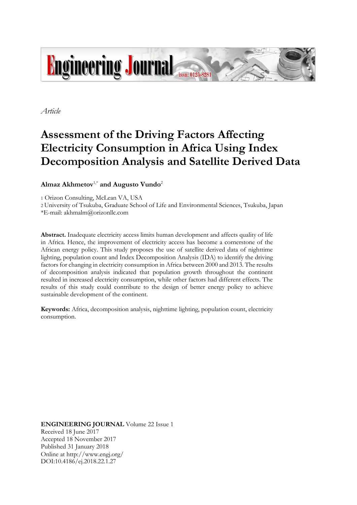

*Article*

# **Assessment of the Driving Factors Affecting Electricity Consumption in Africa Using Index Decomposition Analysis and Satellite Derived Data**

**Almaz Akhmetov**1,\* **and Augusto Vundo**<sup>2</sup>

1 Orizon Consulting, McLean VA, USA

2 University of Tsukuba, Graduate School of Life and Environmental Sciences, Tsukuba, Japan

\*E-mail: akhmalm@orizonllc.com

**Abstract.** Inadequate electricity access limits human development and affects quality of life in Africa. Hence, the improvement of electricity access has become a cornerstone of the African energy policy. This study proposes the use of satellite derived data of nighttime lighting, population count and Index Decomposition Analysis (IDA) to identify the driving factors for changing in electricity consumption in Africa between 2000 and 2013. The results of decomposition analysis indicated that population growth throughout the continent resulted in increased electricity consumption, while other factors had different effects. The results of this study could contribute to the design of better energy policy to achieve sustainable development of the continent.

**Keywords:** Africa, decomposition analysis, nighttime lighting, population count, electricity consumption.

**ENGINEERING JOURNAL** Volume 22 Issue 1 Received 18 June 2017 Accepted 18 November 2017 Published 31 January 2018 Online at http://www.engj.org/ DOI:10.4186/ej.2018.22.1.27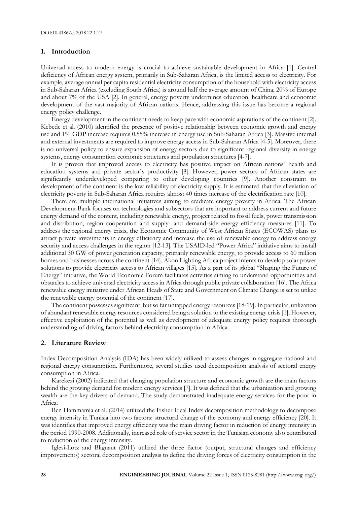# **1. Introduction**

Universal access to modern energy is crucial to achieve sustainable development in Africa [1]. Central deficiency of African energy system, primarily in Sub-Saharan Africa, is the limited access to electricity. For example, average annual per capita residential electricity consumption of the household with electricity access in Sub-Saharan Africa (excluding South Africa) is around half the average amount of China, 20% of Europe and about 7% of the USA [2]. In general, energy poverty undermines education, healthcare and economic development of the vast majority of African nations. Hence, addressing this issue has become a regional energy policy challenge.

Energy development in the continent needs to keep pace with economic aspirations of the continent [2]. Kebede et al. (2010) identified the presence of positive relationship between economic growth and energy use and 1% GDP increase requires 0.55% increase in energy use in Sub-Saharan Africa [3]. Massive internal and external investments are required to improve energy access in Sub-Saharan Africa [4-5]. Moreover, there is no universal policy to ensure expansion of energy sectors due to significant regional diversity in energy systems, energy consumption economic structures and population structures [4-7].

It is proven that improved access to electricity has positive impact on African nations` health and education systems and private sector`s productivity [8]. However, power sectors of African states are significantly underdeveloped comparing to other developing countries [9]. Another constraint to development of the continent is the low reliability of electricity supply. It is estimated that the alleviation of electricity poverty in Sub-Saharan Africa requires almost 40 times increase of the electrification rate [10].

There are multiple international initiatives aiming to eradicate energy poverty in Africa. The African Development Bank focuses on technologies and subsectors that are important to address current and future energy demand of the content, including renewable energy, project related to fossil fuels, power transmission and distribution, region cooperation and supply- and demand-side energy efficiency measures [11]. To address the regional energy crisis, the Economic Community of West African States (ECOWAS) plans to attract private investments in energy efficiency and increase the use of renewable energy to address energy security and access challenges in the region [12-13]. The USAID-led "Power Africa" initiative aims to install additional 30 GW of power generation capacity, primarily renewable energy, to provide access to 60 million homes and businesses across the continent [14]. Akon Lighting Africa project intents to develop solar power solutions to provide electricity access to African villages [15]. As a part of its global "Shaping the Future of Energy" initiative, the World Economic Forum facilitates activities aiming to understand opportunities and obstacles to achieve universal electricity access in Africa through public private collaboration [16]. The Africa renewable energy initiative under African Heads of State and Government on Climate Change is set to utilize the renewable energy potential of the continent [17].

The continent possesses significant, but so far untapped energy resources [18-19]. In particular, utilization of abundant renewable energy resources considered being a solution to the existing energy crisis [1]. However, effective exploitation of the potential as well as development of adequate energy policy requires thorough understanding of driving factors behind electricity consumption in Africa.

#### **2. Literature Review**

Index Decomposition Analysis (IDA) has been widely utilized to assess changes in aggregate national and regional energy consumption. Furthermore, several studies used decomposition analysis of sectoral energy consumption in Africa.

Karekezi (2002) indicated that changing population structure and economic growth are the main factors behind the growing demand for modern energy services [7]. It was defined that the urbanization and growing wealth are the key drivers of demand. The study demonstrated inadequate energy services for the poor in Africa.

Ben Hammamia et al. (2014) utilized the Fisher Ideal Index decomposition methodology to decompose energy intensity in Tunisia into two factors: structural change of the economy and energy efficiency [20]. It was identifies that improved energy efficiency was the main driving factor in reduction of energy intensity in the period 1990-2008. Additionally, increased role of service sector in the Tunisian economy also contributed to reduction of the energy intensity.

Iglesi-Lotz and Blignaut (2011) utilized the three factor (output, structural changes and efficiency improvements) sectoral decomposition analysis to define the driving forces of electricity consumption in the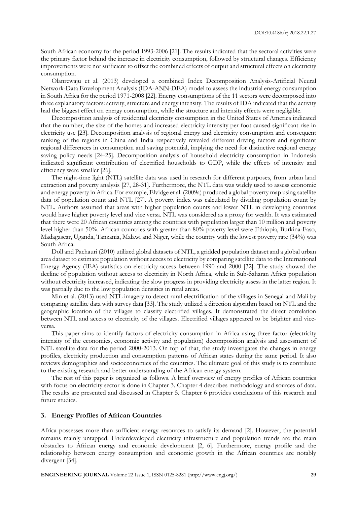South African economy for the period 1993-2006 [21]. The results indicated that the sectoral activities were the primary factor behind the increase in electricity consumption, followed by structural changes. Efficiency improvements were not sufficient to offset the combined effects of output and structural effects on electricity consumption.

Olanrewaju et al. (2013) developed a combined Index Decomposition Analysis-Artificial Neural Network-Data Envelopment Analysis (IDA-ANN-DEA) model to assess the industrial energy consumption in South Africa for the period 1971-2008 [22]. Energy consumptions of the 11 sectors were decomposed into three explanatory factors: activity, structure and energy intensity. The results of IDA indicated that the activity had the biggest effect on energy consumption, while the structure and intensity effects were negligible.

Decomposition analysis of residential electricity consumption in the United States of America indicated that the number, the size of the homes and increased electricity intensity per foot caused significant rise in electricity use [23]. Decomposition analysis of regional energy and electricity consumption and consequent ranking of the regions in China and India respectively revealed different driving factors and significant regional differences in consumption and saving potential, implying the need for distinctive regional energy saving policy needs [24-25]. Decomposition analysis of household electricity consumption in Indonesia indicated significant contribution of electrified households to GDP, while the effects of intensity and efficiency were smaller [26].

The night-time light (NTL) satellite data was used in research for different purposes, from urban land extraction and poverty analysis [27, 28-31]. Furthermore, the NTL data was widely used to assess economic and energy poverty in Africa. For example, Elvidge et al. (2009a) produced a global poverty map using satellite data of population count and NTL [27]. A poverty index was calculated by dividing population count by NTL. Authors assumed that areas with higher population counts and lower NTL in developing countries would have higher poverty level and vice versa. NTL was considered as a proxy for wealth. It was estimated that there were 20 African countries among the countries with population larger than 10 million and poverty level higher than 50%. African countries with greater than 80% poverty level were Ethiopia, Burkina-Faso, Madagascar, Uganda, Tanzania, Malawi and Niger, while the country with the lowest poverty rate (34%) was South Africa.

Doll and Pachauri (2010) utilized global datasets of NTL, a gridded population dataset and a global urban area dataset to estimate population without access to electricity by comparing satellite data to the International Energy Agency (IEA) statistics on electricity access between 1990 and 2000 [32]. The study showed the decline of population without access to electricity in North Africa, while in Sub-Saharan Africa population without electricity increased, indicating the slow progress in providing electricity assess in the latter region. It was partially due to the low population densities in rural areas.

Min et al. (2013) used NTL imagery to detect rural electrification of the villages in Senegal and Mali by comparing satellite data with survey data [33]. The study utilized a direction algorithm based on NTL and the geographic location of the villages to classify electrified villages. It demonstrated the direct correlation between NTL and access to electricity of the villages. Electrified villages appeared to be brighter and viceversa.

This paper aims to identify factors of electricity consumption in Africa using three-factor (electricity intensity of the economies, economic activity and population) decomposition analysis and assessment of NTL satellite data for the period 2000-2013. On top of that, the study investigates the changes in energy profiles, electricity production and consumption patterns of African states during the same period. It also reviews demographics and socioeconomics of the countries. The ultimate goal of this study is to contribute to the existing research and better understanding of the African energy system.

The rest of this paper is organized as follows. A brief overview of energy profiles of African countries with focus on electricity sector is done in Chapter 3. Chapter 4 describes methodology and sources of data. The results are presented and discussed in Chapter 5. Chapter 6 provides conclusions of this research and future studies.

### **3. Energy Profiles of African Countries**

Africa possesses more than sufficient energy resources to satisfy its demand [2]. However, the potential remains mainly untapped. Underdeveloped electricity infrastructure and population trends are the main obstacles to African energy and economic development [2, 6]. Furthermore, energy profile and the relationship between energy consumption and economic growth in the African countries are notably divergent [34].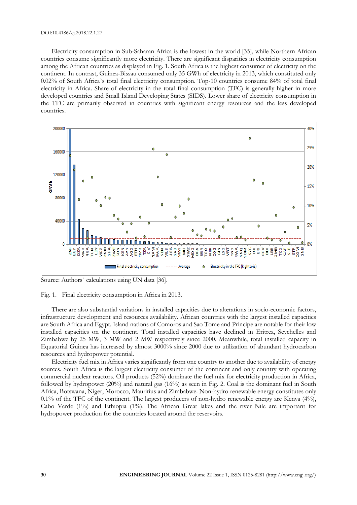#### DOI:10.4186/ej.2018.22.1.27

Electricity consumption in Sub-Saharan Africa is the lowest in the world [35], while Northern African countries consume significantly more electricity. There are significant disparities in electricity consumption among the African countries as displayed in Fig. 1. South Africa is the highest consumer of electricity on the continent. In contrast, Guinea-Bissau consumed only 35 GWh of electricity in 2013, which constituted only 0.02% of South Africa`s total final electricity consumption. Top-10 countries consume 84% of total final electricity in Africa. Share of electricity in the total final consumption (TFC) is generally higher in more developed countries and Small Island Developing States (SIDS). Lower share of electricity consumption in the TFC are primarily observed in countries with significant energy resources and the less developed countries.



Source: Authors` calculations using UN data [36].

Fig. 1. Final electricity consumption in Africa in 2013.

There are also substantial variations in installed capacities due to alterations in socio-economic factors, infrastructure development and resources availability. African countries with the largest installed capacities are South Africa and Egypt. Island nations of Comoros and Sao Tome and Principe are notable for their low installed capacities on the continent. Total installed capacities have declined in Eritrea, Seychelles and Zimbabwe by 25 MW, 3 MW and 2 MW respectively since 2000. Meanwhile, total installed capacity in Equatorial Guinea has increased by almost 3000% since 2000 due to utilization of abundant hydrocarbon resources and hydropower potential.

Electricity fuel mix in Africa varies significantly from one country to another due to availability of energy sources. South Africa is the largest electricity consumer of the continent and only country with operating commercial nuclear reactors. Oil products (52%) dominate the fuel mix for electricity production in Africa, followed by hydropower (20%) and natural gas (16%) as seen in Fig. 2. Coal is the dominant fuel in South Africa, Botswana, Niger, Morocco, Mauritius and Zimbabwe. Non-hydro renewable energy constitutes only 0.1% of the TFC of the continent. The largest producers of non-hydro renewable energy are Kenya  $(4\%)$ , Cabo Verde (1%) and Ethiopia (1%). The African Great lakes and the river Nile are important for hydropower production for the countries located around the reservoirs.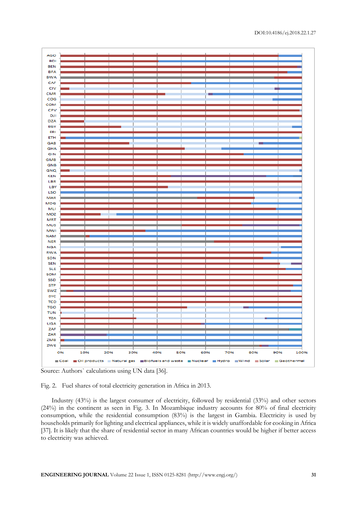





Industry (43%) is the largest consumer of electricity, followed by residential (33%) and other sectors (24%) in the continent as seen in Fig. 3. In Mozambique industry accounts for 80% of final electricity consumption, while the residential consumption (83%) is the largest in Gambia. Electricity is used by households primarily for lighting and electrical appliances, while it is widely unaffordable for cooking in Africa [37]. It is likely that the share of residential sector in many African countries would be higher if better access to electricity was achieved.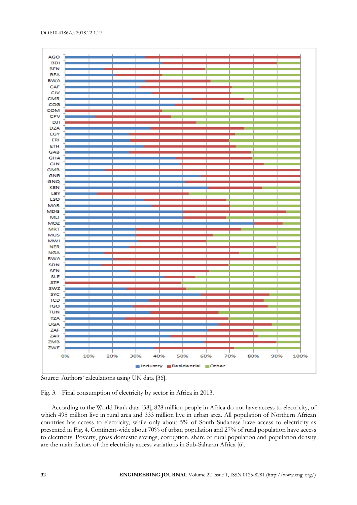

Source: Authors' calculations using UN data [36].



According to the World Bank data [38], 828 million people in Africa do not have access to electricity, of which 495 million live in rural area and 333 million live in urban area. All population of Northern African countries has access to electricity, while only about 5% of South Sudanese have access to electricity as presented in Fig. 4. Continent-wide about 70% of urban population and 27% of rural population have access to electricity. Poverty, gross domestic savings, corruption, share of rural population and population density are the main factors of the electricity access variations in Sub-Saharan Africa [6].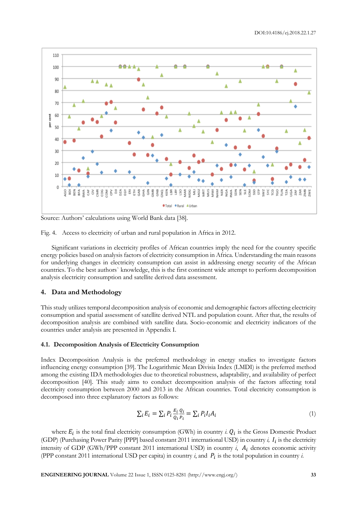

Source: Authors' calculations using World Bank data [38].

Fig. 4. Access to electricity of urban and rural population in Africa in 2012.

Significant variations in electricity profiles of African countries imply the need for the country specific energy policies based on analysis factors of electricity consumption in Africa. Understanding the main reasons for underlying changes in electricity consumption can assist in addressing energy security of the African countries. To the best authors` knowledge, this is the first continent wide attempt to perform decomposition analysis electricity consumption and satellite derived data assessment.

# **4. Data and Methodology**

This study utilizes temporal decomposition analysis of economic and demographic factors affecting electricity consumption and spatial assessment of satellite derived NTL and population count. After that, the results of decomposition analysis are combined with satellite data. Socio-economic and electricity indicators of the countries under analysis are presented in Appendix I.

# **4.1. Decomposition Analysis of Electricity Consumption**

Index Decomposition Analysis is the preferred methodology in energy studies to investigate factors influencing energy consumption [39]. The Logarithmic Mean Divisia Index (LMDI) is the preferred method among the existing IDA methodologies due to theoretical robustness, adaptability, and availability of perfect decomposition [40]. This study aims to conduct decomposition analysis of the factors affecting total electricity consumption between 2000 and 2013 in the African countries. Total electricity consumption is decomposed into three explanatory factors as follows:

$$
\sum_{i} E_i = \sum_{i} P_i \frac{E_i}{Q_i} \frac{Q_i}{P_i} = \sum_{i} P_i I_i A_i \tag{1}
$$

where  $E_i$  is the total final electricity consumption (GWh) in country *i*.  $Q_i$  is the Gross Domestic Product (GDP) (Purchasing Power Parity [PPP] based constant 2011 international USD) in country  $i$ ,  $I_i$  is the electricity intensity of GDP (GWh/PPP constant 2011 international USD) in country  $i$ ,  $A_i$  denotes economic activity (PPP constant 2011 international USD per capita) in country  $i$ , and  $P_i$  is the total population in country  $i$ .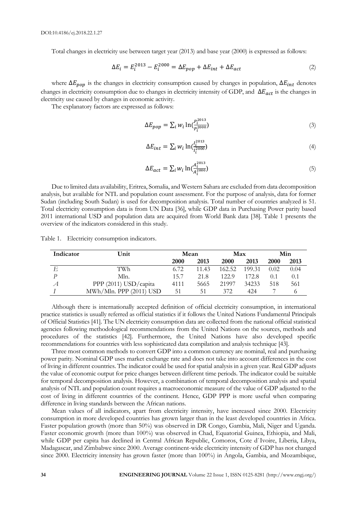Total changes in electricity use between target year (2013) and base year (2000) is expressed as follows:

$$
\Delta E_i = E_i^{2013} - E_i^{2000} = \Delta E_{pop} + \Delta E_{int} + \Delta E_{act}
$$
 (2)

where  $\Delta E_{pop}$  is the changes in electricity consumption caused by changes in population,  $\Delta E_{int}$  denotes changes in electricity consumption due to changes in electricity intensity of GDP, and  $\Delta E_{act}$  is the changes in electricity use caused by changes in economic activity.

The explanatory factors are expressed as follows:

$$
\Delta E_{pop} = \sum_{i} w_i \ln(\frac{P_i^{2013}}{P_i^{2000}})
$$
\n(3)

$$
\Delta E_{int} = \sum_{i} w_{i} \ln(\frac{I_{i}^{2013}}{I_{i}^{2000}})
$$
\n(4)

$$
\Delta E_{act} = \sum_{i} w_i \ln(\frac{A_i^{2013}}{A_i^{2000}})
$$
\n(5)

Due to limited data availability, Eritrea, Somalia, and Western Sahara are excluded from data decomposition analysis, but available for NTL and population count assessment. For the purpose of analysis, data for former Sudan (including South Sudan) is used for decomposition analysis. Total number of countries analyzed is 51. Total electricity consumption data is from UN Data [36], while GDP data in Purchasing Power parity based 2011 international USD and population data are acquired from World Bank data [38]. Table 1 presents the overview of the indicators considered in this study.

Table 1. Electricity consumption indicators.

| Indicator    | Unit                    | Mean |       | Max         |        | Min  |      |
|--------------|-------------------------|------|-------|-------------|--------|------|------|
|              |                         | 2000 | 2013  | <b>2000</b> | 2013   | 2000 | 2013 |
| E            | TWh                     | 6.72 | 11.43 | 162.52      | 199.31 | 0.02 | 0.04 |
|              | Mln.                    | 15.7 | 21.8  | 122.9       | 172.8  | 0.1  | 0.1  |
| $\mathcal A$ | PPP (2011) USD/capita   | 4111 | 5665  | 21997       | 34233  | 518  | 561  |
|              | MWh/Mln. PPP (2011) USD | 51   | 51    | 372         | 42.4   |      |      |

Although there is internationally accepted definition of official electricity consumption, in international practice statistics is usually referred as official statistics if it follows the United Nations Fundamental Principals of Official Statistics [41]. The UN electricity consumption data are collected from the national official statistical agencies following methodological recommendations from the United Nations on the sources, methods and procedures of the statistics [42]. Furthermore, the United Nations have also developed specific recommendations for countries with less sophisticated data compilation and analysis technique [43].

Three most common methods to convert GDP into a common currency are nominal, real and purchasing power parity. Nominal GDP uses market exchange rate and does not take into account differences in the cost of living in different countries. The indicator could be used for spatial analysis in a given year. Real GDP adjusts the value of economic output for price changes between different time periods. The indicator could be suitable for temporal decomposition analysis. However, a combination of temporal decomposition analysis and spatial analysis of NTL and population count requires a macroeconomic measure of the value of GDP adjusted to the cost of living in different countries of the continent. Hence, GDP PPP is more useful when comparing difference in living standards between the African nations.

Mean values of all indicators, apart from electricity intensity, have increased since 2000. Electricity consumption in more developed countries has grown larger than in the least developed countries in Africa. Faster population growth (more than 50%) was observed in DR Congo, Gambia, Mali, Niger and Uganda. Faster economic growth (more than 100%) was observed in Chad, Equatorial Guinea, Ethiopia, and Mali, while GDP per capita has declined in Central African Republic, Comoros, Cote d`Ivoire, Liberia, Libya, Madagascar, and Zimbabwe since 2000. Average continent-wide electricity intensity of GDP has not changed since 2000. Electricity intensity has grown faster (more than 100%) in Angola, Gambia, and Mozambique,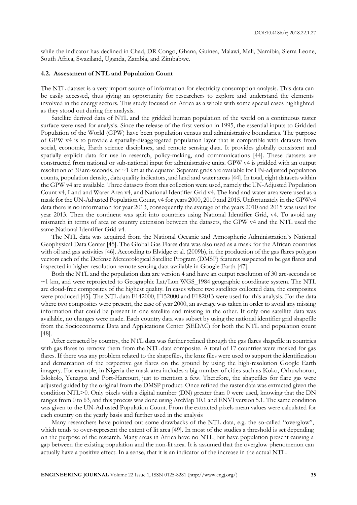while the indicator has declined in Chad, DR Congo, Ghana, Guinea, Malawi, Mali, Namibia, Sierra Leone, South Africa, Swaziland, Uganda, Zambia, and Zimbabwe.

### **4.2. Assessment of NTL and Population Count**

The NTL dataset is a very import source of information for electricity consumption analysis. This data can be easily accessed, thus giving an opportunity for researchers to explore and understand the elements involved in the energy sectors. This study focused on Africa as a whole with some special cases highlighted as they stood out during the analysis.

Satellite derived data of NTL and the gridded human population of the world on a continuous raster surface were used for analysis. Since the release of the first version in 1995, the essential inputs to Gridded Population of the World (GPW) have been population census and administrative boundaries. The purpose of GPW v4 is to provide a spatially-disaggregated population layer that is compatible with datasets from social, economic, Earth science disciplines, and remote sensing data. It provides globally consistent and spatially explicit data for use in research, policy-making, and communications [44]. These datasets are constructed from national or sub-national input for administrative units. GPW v4 is gridded with an output resolution of 30 arc-seconds, or  $\sim$ 1 km at the equator. Separate grids are available for UN-adjusted population counts, population density, data quality indicators, and land and water areas [44]. In total, eight datasets within the GPW v4 are available. Three datasets from this collection were used, namely the UN-Adjusted Population Count v4, Land and Warer Area v4, and National Identifier Grid v4. The land and water area were used as a mask for the UN-Adjusted Population Count, v4 for years 2000, 2010 and 2015. Unfortunately in the GPWv4 data there is no information for year 2013, consequently the average of the years 2010 and 2015 was used for year 2013. Then the continent was split into countries using National Identifier Grid, v4. To avoid any mismatch in terms of area or country extension between the datasets, the GPW v4 and the NTL used the same National Identifier Grid v4.

The NTL data was acquired from the National Oceanic and Atmospheric Administration`s National Geophysical Data Center [45]. The Global Gas Flares data was also used as a mask for the African countries with oil and gas activities [46]. According to Elvidge et al. (2009b), in the production of the gas flares polygon vectors each of the Defense Meteorological Satellite Program (DMSP) features suspected to be gas flares and inspected in higher resolution remote sensing data available in Google Earth [47].

Both the NTL and the population data are version 4 and have an output resolution of 30 arc-seconds or ~1 km, and were reprojected to Geographic Lat/Lon WGS\_1984 geographic coordinate system. The NTL are cloud-free composites of the highest quality. In cases where two satellites collected data, the composites were produced [45]. The NTL data F142000, F152000 and F182013 were used for this analysis. For the data where two composites were present, the case of year 2000, an average was taken in order to avoid any missing information that could be present in one satellite and missing in the other. If only one satellite data was available, no changes were made. Each country data was subset by using the national identifier grid shapefile from the Socioeconomic Data and Applications Center (SEDAC) for both the NTL and population count [48].

After extracted by country, the NTL data was further refined through the gas flares shapefile in countries with gas flares to remove them from the NTL data composite. A total of 17 countries were masked for gas flares. If there was any problem related to the shapefiles, the kmz files were used to support the identification and demarcation of the respective gas flares on the ground by using the high-resolution Google Earth imagery. For example, in Nigeria the mask area includes a big number of cities such as Koko, Orhuwhorun, Islokolo, Yenagoa and Port-Harcourt, just to mention a few. Therefore, the shapefiles for flare gas were adjusted guided by the original from the DMSP product. Once refined the raster data was extracted given the condition NTL>0. Only pixels with a digital number (DN) greater than 0 were used, knowing that the DN ranges from 0 to 63, and this process was done using ArcMap 10.1 and ENVI version 5.1. The same condition was given to the UN-Adjusted Population Count. From the extracted pixels mean values were calculated for each country on the yearly basis and further used in the analysis

Many researchers have pointed out some drawbacks of the NTL data, e.g. the so-called "overglow", which tends to over-represent the extent of lit area [49]. In most of the studies a threshold is set depending on the purpose of the research. Many areas in Africa have no NTL, but have population present causing a gap between the existing population and the non-lit area. It is assumed that the overglow phenomenon can actually have a positive effect. In a sense, that it is an indicator of the increase in the actual NTL.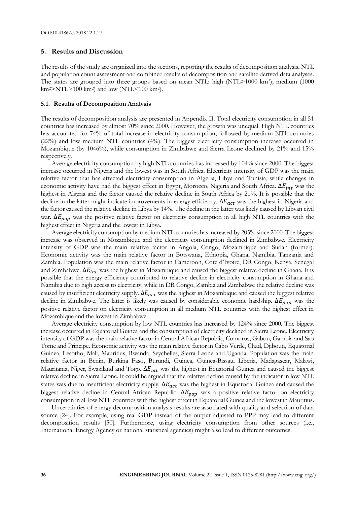### **5. Results and Discussion**

The results of the study are organized into the sections, reporting the results of decomposition analysis, NTL and population count assessment and combined results of decomposition and satellite derived data analyses. The states are grouped into three groups based on mean NTL: high (NTL>1000 km<sup>2</sup> ); medium (1000  $km^2 > NTL > 100 km^2$  and low (NTL<100 km<sup>2</sup>).

#### **5.1. Results of Decomposition Analysis**

The results of decomposition analysis are presented in Appendix II. Total electricity consumption in all 51 countries has increased by almost 70% since 2000. However, the growth was unequal. High NTL countries has accounted for 74% of total increase in electricity consumption, followed by medium NTL countries (22%) and low medium NTL countries (4%). The biggest electricity consumption increase occurred in Mozambique (by 1046%), while consumption in Zimbabwe and Sierra Leone declined by 21% and 15% respectively.

Average electricity consumption by high NTL countries has increased by 104% since 2000. The biggest increase occurred in Nigeria and the lowest was in South Africa. Electricity intensity of GDP was the main relative factor that has affected electricity consumption in Algeria, Libya and Tunisia, while changes in economic activity have had the biggest effect in Egypt, Morocco, Nigeria and South Africa.  $\Delta E_{int}$  was the highest in Algeria and the factor caused the relative decline in South Africa by 21%. It is possible that the decline in the latter might indicate improvements in energy efficiency.  $\Delta E_{act}$  was the highest in Nigeria and the factor caused the relative decline in Libya by 14%. The decline in the latter was likely caused by Libyan civil war.  $\Delta E_{pop}$  was the positive relative factor on electricity consumption in all high NTL countries with the highest effect in Nigeria and the lowest in Libya.

Average electricity consumption by medium NTL countries has increased by 205% since 2000. The biggest increase was observed in Mozambique and the electricity consumption declined in Zimbabwe. Electricity intensity of GDP was the main relative factor in Angola, Congo, Mozambique and Sudan (former). Economic activity was the main relative factor in Botswana, Ethiopia, Ghana, Namibia, Tanzania and Zambia. Population was the main relative factor in Cameroon, Cote d'Ivoire, DR Congo, Kenya, Senegal and Zimbabwe.  $\Delta E_{int}$  was the highest in Mozambique and caused the biggest relative decline in Ghana. It is possible that the energy efficiency contributed to relative decline in electricity consumption in Ghana and Namibia due to high access to electricity, while in DR Congo, Zambia and Zimbabwe the relative decline was caused by insufficient electricity supply.  $\Delta E_{act}$  was the highest in Mozambique and caused the biggest relative decline in Zimbabwe. The latter is likely was caused by considerable economic hardship.  $\Delta E_{pop}$  was the positive relative factor on electricity consumption in all medium NTL countries with the highest effect in Mozambique and the lowest in Zimbabwe.

Average electricity consumption by low NTL countries has increased by 124% since 2000. The biggest increase occurred in Equatorial Guinea and the consumption of electricity declined in Sierra Leone. Electricity intensity of GDP was the main relative factor in Central African Republic, Comoros, Gabon, Gambia and Sao Tome and Principe. Economic activity was the main relative factor in Cabo Verde, Chad, Djibouti, Equatorial Guinea, Lesotho, Mali, Mauritius, Rwanda, Seychelles, Sierra Leone and Uganda. Population was the main relative factor in Benin, Burkina Faso, Burundi, Guinea, Guinea-Bissau, Liberia, Madagascar, Malawi, Mauritania, Niger, Swaziland and Togo.  $\Delta E_{int}$  was the highest in Equatorial Guinea and caused the biggest relative decline in Sierra Leone. It could be argued that the relative decline caused by the indicator in low NTL states was due to insufficient electricity supply.  $\Delta E_{act}$  was the highest in Equatorial Guinea and caused the biggest relative decline in Central African Republic.  $\Delta E_{pop}$  was a positive relative factor on electricity consumption in all low NTL countries with the highest effect in Equatorial Guinea and the lowest in Mauritius.

Uncertainties of energy decomposition analysis results are associated with quality and selection of data source [24]. For example, using real GDP instead of the output adjusted to PPP may lead to different decomposition results [50]. Furthermore, using electricity consumption from other sources (i.e., International Energy Agency or national statistical agencies) might also lead to different outcomes.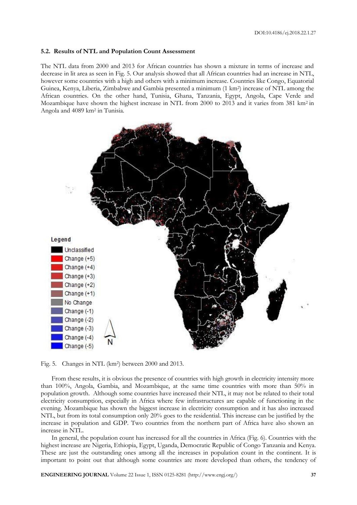#### **5.2. Results of NTL and Population Count Assessment**

The NTL data from 2000 and 2013 for African countries has shown a mixture in terms of increase and decrease in lit area as seen in Fig. 5. Our analysis showed that all African countries had an increase in NTL, however some countries with a high and others with a minimum increase. Countries like Congo, Equatorial Guinea, Kenya, Liberia, Zimbabwe and Gambia presented a minimum (1 km<sup>2</sup> ) increase of NTL among the African countries. On the other hand, Tunisia, Ghana, Tanzania, Egypt, Angola, Cape Verde and Mozambique have shown the highest increase in NTL from 2000 to 2013 and it varies from 381 km2 in Angola and 4089 km<sup>2</sup> in Tunisia.



Fig. 5. Changes in NTL (km<sup>2</sup> ) between 2000 and 2013.

From these results, it is obvious the presence of countries with high growth in electricity intensity more than 100%, Angola, Gambia, and Mozambique, at the same time countries with more than 50% in population growth. Although some countries have increased their NTL, it may not be related to their total electricity consumption, especially in Africa where few infrastructures are capable of functioning in the evening. Mozambique has shown the biggest increase in electricity consumption and it has also increased NTL, but from its total consumption only 20% goes to the residential. This increase can be justified by the increase in population and GDP. Two countries from the northern part of Africa have also shown an increase in NTL.

In general, the population count has increased for all the countries in Africa (Fig. 6). Countries with the highest increase are Nigeria, Ethiopia, Egypt, Uganda, Democratic Republic of Congo Tanzania and Kenya. These are just the outstanding ones among all the increases in population count in the continent. It is important to point out that although some countries are more developed than others, the tendency of

**ENGINEERING JOURNAL** Volume 22 Issue 1, ISSN 0125-8281 (http://www.engj.org/) **37**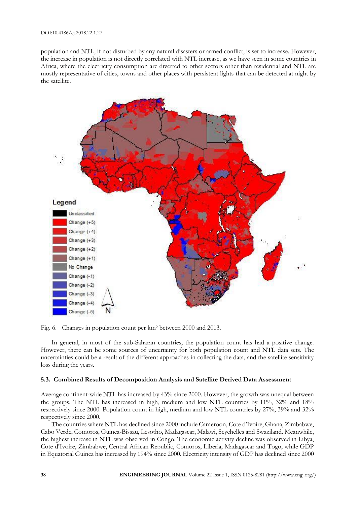population and NTL, if not disturbed by any natural disasters or armed conflict, is set to increase. However, the increase in population is not directly correlated with NTL increase, as we have seen in some countries in Africa, where the electricity consumption are diverted to other sectors other than residential and NTL are mostly representative of cities, towns and other places with persistent lights that can be detected at night by the satellite.



Fig. 6. Changes in population count per km<sup>2</sup> between 2000 and 2013.

In general, in most of the sub-Saharan countries, the population count has had a positive change. However, there can be some sources of uncertainty for both population count and NTL data sets. The uncertainties could be a result of the different approaches in collecting the data, and the satellite sensitivity loss during the years.

# **5.3. Combined Results of Decomposition Analysis and Satellite Derived Data Assessment**

Average continent-wide NTL has increased by 43% since 2000. However, the growth was unequal between the groups. The NTL has increased in high, medium and low NTL countries by 11%, 32% and 18% respectively since 2000. Population count in high, medium and low NTL countries by 27%, 39% and 32% respectively since 2000.

The countries where NTL has declined since 2000 include Cameroon, Cote d'Ivoire, Ghana, Zimbabwe, Cabo Verde, Comoros, Guinea-Bissau, Lesotho, Madagascar, Malawi, Seychelles and Swaziland. Meanwhile, the highest increase in NTL was observed in Congo. The economic activity decline was observed in Libya, Cote d'Ivoire, Zimbabwe, Central African Republic, Comoros, Liberia, Madagascar and Togo, while GDP in Equatorial Guinea has increased by 194% since 2000. Electricity intensity of GDP has declined since 2000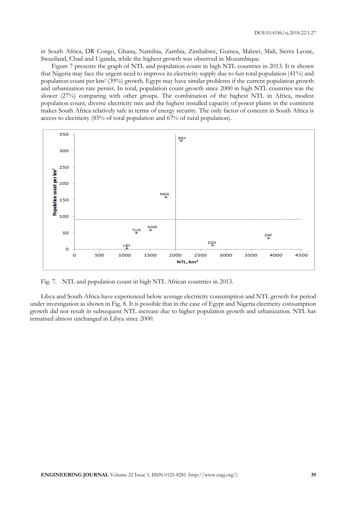in South Africa, DR Congo, Ghana, Namibia, Zambia, Zimbabwe, Guinea, Malawi, Mali, Sierra Leone, Swaziland, Chad and Uganda, while the highest growth was observed in Mozambique.

Figure 7 presents the graph of NTL and population count in high NTL countries in 2013. It is shown that Nigeria may face the urgent need to improve its electricity supply due to fast total population (41%) and population count per km<sup>2</sup> (39%) growth. Egypt may have similar problems if the current population growth and urbanization rate persist. In total, population count growth since 2000 in high NTL countries was the slower (27%) comparing with other groups. The combination of the highest NTL in Africa, modest population count, diverse electricity mix and the highest installed capacity of power plants in the continent makes South Africa relatively safe in terms of energy security. The only factor of concern in South Africa is access to electricity (85% of total population and 67% of rural population).



Fig. 7. NTL and population count in high NTL African countries in 2013.

Libya and South Africa have experienced below average electricity consumption and NTL growth for period under investigation as shown in Fig. 8. It is possible that in the case of Egypt and Nigeria electricity consumption growth did not result in subsequent NTL increase due to higher population growth and urbanization. NTL has remained almost unchanged in Libya since 2000.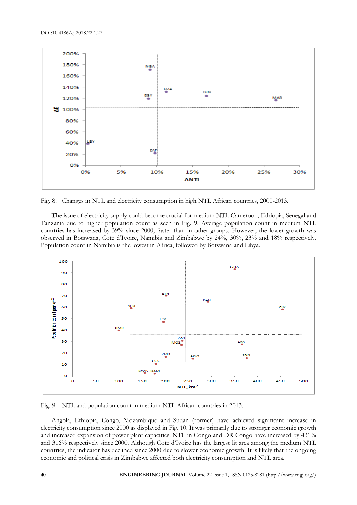

Fig. 8. Changes in NTL and electricity consumption in high NTL African countries, 2000-2013.

The issue of electricity supply could become crucial for medium NTL Cameroon, Ethiopia, Senegal and Tanzania due to higher population count as seen in Fig. 9. Average population count in medium NTL countries has increased by 39% since 2000, faster than in other groups. However, the lower growth was observed in Botswana, Cote d'Ivoire, Namibia and Zimbabwe by 24%, 30%, 23% and 18% respectively. Population count in Namibia is the lowest in Africa, followed by Botswana and Libya.



Fig. 9. NTL and population count in medium NTL African countries in 2013.

Angola, Ethiopia, Congo, Mozambique and Sudan (former) have achieved significant increase in electricity consumption since 2000 as displayed in Fig. 10. It was primarily due to stronger economic growth and increased expansion of power plant capacities. NTL in Congo and DR Congo have increased by 431% and 316% respectively since 2000. Although Cote d'Ivoire has the largest lit area among the medium NTL countries, the indicator has declined since 2000 due to slower economic growth. It is likely that the ongoing economic and political crisis in Zimbabwe affected both electricity consumption and NTL area.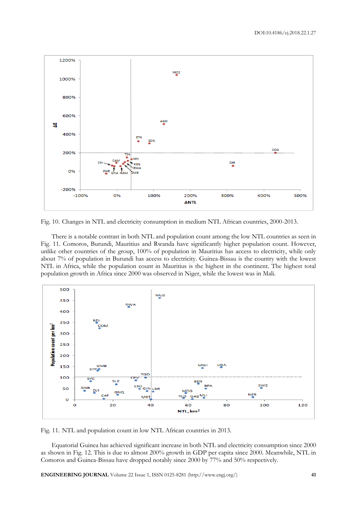

Fig. 10. Changes in NTL and electricity consumption in medium NTL African countries, 2000-2013.

There is a notable contrast in both NTL and population count among the low NTL countries as seen in Fig. 11. Comoros, Burundi, Mauritius and Rwanda have significantly higher population count. However, unlike other countries of the group, 100% of population in Mauritius has access to electricity, while only about 7% of population in Burundi has access to electricity. Guinea-Bissau is the country with the lowest NTL in Africa, while the population count in Mauritius is the highest in the continent. The highest total population growth in Africa since 2000 was observed in Niger, while the lowest was in Mali.



Fig. 11. NTL and population count in low NTL African countries in 2013.

Equatorial Guinea has achieved significant increase in both NTL and electricity consumption since 2000 as shown in Fig. 12. This is due to almost 200% growth in GDP per capita since 2000. Meanwhile, NTL in Comoros and Guinea-Bissau have dropped notably since 2000 by 77% and 50% respectively.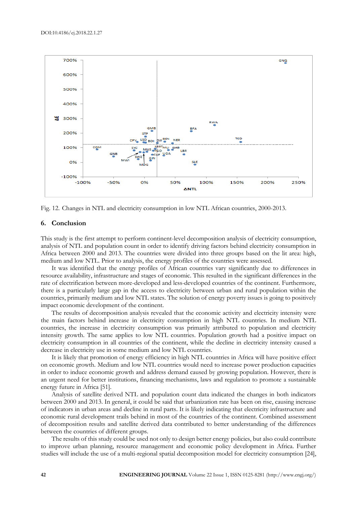

Fig. 12. Changes in NTL and electricity consumption in low NTL African countries, 2000-2013.

### **6. Conclusion**

This study is the first attempt to perform continent-level decomposition analysis of electricity consumption, analysis of NTL and population count in order to identify driving factors behind electricity consumption in Africa between 2000 and 2013. The countries were divided into three groups based on the lit area: high, medium and low NTL. Prior to analysis, the energy profiles of the countries were assessed.

It was identified that the energy profiles of African countries vary significantly due to differences in resource availability, infrastructure and stages of economic. This resulted in the significant differences in the rate of electrification between more-developed and less-developed countries of the continent. Furthermore, there is a particularly large gap in the access to electricity between urban and rural population within the countries, primarily medium and low NTL states. The solution of energy poverty issues is going to positively impact economic development of the continent.

The results of decomposition analysis revealed that the economic activity and electricity intensity were the main factors behind increase in electricity consumption in high NTL countries. In medium NTL countries, the increase in electricity consumption was primarily attributed to population and electricity intensity growth. The same applies to low NTL countries. Population growth had a positive impact on electricity consumption in all countries of the continent, while the decline in electricity intensity caused a decrease in electricity use in some medium and low NTL countries.

It is likely that promotion of energy efficiency in high NTL countries in Africa will have positive effect on economic growth. Medium and low NTL countries would need to increase power production capacities in order to induce economic growth and address demand caused by growing population. However, there is an urgent need for better institutions, financing mechanisms, laws and regulation to promote a sustainable energy future in Africa [51].

Analysis of satellite derived NTL and population count data indicated the changes in both indicators between 2000 and 2013. In general, it could be said that urbanization rate has been on rise, causing increase of indicators in urban areas and decline in rural parts. It is likely indicating that electricity infrastructure and economic rural development trails behind in most of the countries of the continent. Combined assessment of decomposition results and satellite derived data contributed to better understanding of the differences between the countries of different groups.

The results of this study could be used not only to design better energy policies, but also could contribute to improve urban planning, resource management and economic policy development in Africa. Further studies will include the use of a multi-regional spatial decomposition model for electricity consumption [24],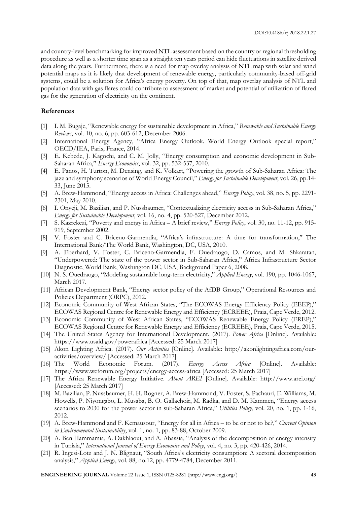and country-level benchmarking for improved NTL assessment based on the country or regional thresholding procedure as well as a shorter time span as a straight ten years period can hide fluctuations in satellite derived data along the years. Furthermore, there is a need for map overlay analysis of NTL map with solar and wind potential maps as it is likely that development of renewable energy, particularly community-based off-grid systems, could be a solution for Africa's energy poverty. On top of that, map overlay analysis of NTL and population data with gas flares could contribute to assessment of market and potential of utilization of flared gas for the generation of electricity on the continent.

# **References**

- [1] I. M. Bugaje, "Renewable energy for sustainable development in Africa," *Renewable and Sustainable Energy Reviews*, vol. 10, no. 6, pp. 603-612, December 2006.
- [2] International Energy Agency, "Africa Energy Outlook. World Energy Outlook special report," OECD/IEA, Paris, France, 2014.
- [3] E. Kebede, J. Kagochi, and C. M. Jolly, "Energy consumption and economic development in Sub-Saharan Africa," *Energy Economics*, vol. 32, pp. 532-537, 2010.
- [4] E. Panos, H. Turton, M. Densing, and K. Volkart, "Powering the growth of Sub-Saharan Africa: The jazz and symphony scenarios of World Energy Council," *Energy for Sustainable Development*, vol. 26, pp.14- 33, June 2015.
- [5] A. Brew-Hammond, "Energy access in Africa: Challenges ahead," *Energy Policy*, vol. 38, no. 5, pp. 2291- 2301, May 2010.
- [6] I. Onyeji, M. Bazilian, and P. Nussbaumer, "Contextualizing electricity access in Sub-Saharan Africa," *Energy for Sustainable Development*, vol. 16, no. 4, pp. 520-527, December 2012.
- [7] S. Kazrekezi, "Poverty and energy in Africa A brief review," *Energy Policy*, vol. 30, no. 11-12, pp. 915- 919, September 2002.
- [8] V. Foster and C. Briceno-Garmendia, "Africa's infrastructure: A time for transformation," The International Bank/The World Bank, Washington, DC, USA, 2010.
- [9] A. Eberhard, V. Foster, C. Briceno-Garmendia, F. Ouedraogo, D. Camos, and M. Shkaratan, "Underpowered: The state of the power sector in Sub-Saharan Africa," Africa Infrastructure Sector Diagnostic, World Bank, Washington DC, USA, Background Paper 6, 2008.
- [10] N. S. Ouedraogo, "Modeling sustainable long-term electricity," *Applied Energy*, vol. 190, pp. 1046-1067, March 2017.
- [11] African Development Bank, "Energy sector policy of the AfDB Group," Operational Resources and Policies Department (ORPC), 2012.
- [12] Economic Community of West African States, "The ECOWAS Energy Efficiency Policy (EEEP)," ECOWAS Regional Centre for Renewable Energy and Efficiency (ECREEE), Praia, Cape Verde, 2012.
- [13] Economic Community of West African States, "ECOWAS Renewable Energy Policy (EREP)," ECOWAS Regional Centre for Renewable Energy and Efficiency (ECREEE), Praia, Cape Verde, 2015.
- [14] The United States Agency for International Development. (2017). *Power Africa* [Online]. Available: https://www.usaid.gov/powerafrica [Accessed: 25 March 2017]
- [15] Akon Lighting Africa. (2017). *Our Activities* [Online]. Available: http://akonlightingafrica.com/ouractivities/overview/ [Accessed: 25 March 2017]
- [16] The World Economic Forum. (2017). *Energy Access Africa* [Online]. Available: https://www.weforum.org/projects/energy-access-africa [Accessed: 25 March 2017]
- [17] The Africa Renewable Energy Initiative. *About AREI* [Online]. Available: http://www.arei.org/ [Accessed: 25 March 2017]
- [18] M. Bazilian, P. Nussbaumer, H. H. Rogner, A. Brew-Hammond, V. Foster, S. Pachauri, E. Williams, M. Howells, P. Niyongabo, L. Musaba, B. O. Gallachoir, M. Radka, and D. M. Kammen, "Energy access scenarios to 2030 for the power sector in sub-Saharan Africa," *Utilities Policy*, vol. 20, no. 1, pp. 1-16, 2012.
- [19] A. Brew-Hammond and F. Kemausour, "Energy for all in Africa to be or not to be?," *Current Opinion in Environmental Sustainability*, vol. 1, no. 1, pp. 83-88, October 2009.
- [20] A. Ben Hammamia, A. Dakhlaoui, and A. Abassia, "Analysis of the decomposition of energy intensity in Tunisia," *International Journal of Energy Economics and Policy*, vol. 4, no. 3, pp. 420-426, 2014.
- [21] R. Ingesi-Lotz and J. N. Blignaut, "South Africa's electricity consumption: A sectoral decomposition analysis," *Applied Energy*, vol. 88, no.12, pp. 4779-4784, December 2011.

**ENGINEERING JOURNAL** Volume 22 Issue 1, ISSN 0125-8281 (http://www.engj.org/) **43**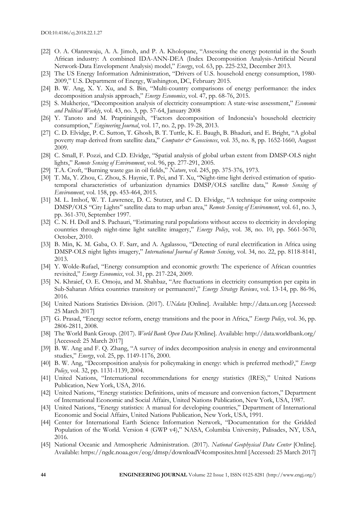- [22] O. A. Olanrewaju, A. A. Jimoh, and P. A. Kholopane, "Assessing the energy potential in the South African industry: A combined IDA-ANN-DEA (Index Decomposition Analysis-Artificial Neural Network-Data Envelopment Analysis) model," *Energy*, vol. 63, pp. 225-232, December 2013.
- [23] The US Energy Information Administration, "Drivers of U.S. household energy consumption, 1980- 2009," U.S. Department of Energy, Washington, DC, February 2015.
- [24] B. W. Ang, X. Y. Xu, and S. Bin, "Multi-country comparisons of energy performance: the index decomposition analysis approach," *Energy Economics*, vol. 47, pp. 68-76, 2015.
- [25] S. Mukherjee, "Decomposition analysis of electricity consumption: A state-wise assessment," *Economic and Political Weekly*, vol. 43, no. 3, pp. 57-64, January 2008
- [26] Y. Tanoto and M. Praptiningsih, "Factors decomposition of Indonesia's household electricity consumption," *Engineering Journal*, vol. 17, no. 2, pp. 19-28, 2013.
- [27] C. D. Elvidge, P. C. Sutton, T. Ghosh, B. T. Tuttle, K. E. Baugh, B. Bhaduri, and E. Bright, "A global poverty map derived from satellite data," *Computer & Geosciences*, vol. 35, no. 8, pp. 1652-1660, August 2009.
- [28] C. Small, F. Pozzi, and C.D. Elvidge, "Spatial analysis of global urban extent from DMSP-OLS night lights," *Remote Sensing of Environment*, vol. 96, pp. 277-291, 2005.
- [29] T.A. Croft, "Burning waste gas in oil fields," *Nature*, vol. 245, pp. 375-376, 1973.
- [30] T. Ma, Y. Zhou, C. Zhou, S. Haynie, T. Pei, and T. Xu, "Night-time light derived estimation of spatiotemporal characteristics of urbanization dynamics DMSP/OLS satellite data," *Remote Sensing of Environment*, vol. 158, pp. 453-464, 2015.
- [31] M. L. Imhof, W. T. Lawrence, D. C. Stutzer, and C. D. Elvidge, "A technique for using composite DMSP/OLS "City Lights" satellite data to map urban area," *Remote Sensing of Environment*, vol. 61, no. 3, pp. 361-370, September 1997.
- [32] C. N. H. Doll and S. Pachauri, "Estimating rural populations without access to electricity in developing countries through night-time light satellite imagery," *Energy Policy*, vol. 38, no. 10, pp. 5661-5670, October, 2010.
- [33] B. Min, K. M. Gaba, O. F. Sarr, and A. Agalassou, "Detecting of rural electrification in Africa using DMSP-OLS night lights imagery," *International Journal of Remote Sensing*, vol. 34, no. 22, pp. 8118-8141, 2013.
- [34] Y. Wolde-Rufael, "Energy consumption and economic growth: The experience of African countries revisited," *Energy Economics*, vol. 31, pp. 217-224, 2009.
- [35] N. Khraief, O. E. Omoju, and M. Shahbaz, "Are fluctuations in electricity consumption per capita in Sub-Saharan Africa countries transitory or permanent?," *Energy Strategy Reviews*, vol. 13-14, pp. 86-96, 2016.
- [36] United Nations Statistics Division. (2017). *UNdata* [Online]. Available: http://data.un.org [Accessed: 25 March 2017]
- [37] G. Prasad, "Energy sector reform, energy transitions and the poor in Africa," *Energy Policy*, vol. 36, pp. 2806-2811, 2008.
- [38] The World Bank Group. (2017). *World Bank Open Data* [Online]. Available: http://data.worldbank.org/ [Accessed: 25 March 2017]
- [39] B. W. Ang and F. Q. Zhang, "A survey of index decomposition analysis in energy and environmental studies," *Energy*, vol. 25, pp. 1149-1176, 2000.
- [40] B. W. Ang, "Decomposition analysis for policymaking in energy: which is preferred method?," *Energy Policy*, vol. 32, pp. 1131-1139, 2004.
- [41] United Nations, "International recommendations for energy statistics (IRES)," United Nations Publication, New York, USA, 2016.
- [42] United Nations, "Energy statistics: Definitions, units of measure and conversion factors," Department of International Economic and Social Affairs, United Nations Publication, New York, USA, 1987.
- [43] United Nations, "Energy statistics: A manual for developing countries," Department of International Economic and Social Affairs, United Nations Publication, New York, USA, 1991.
- [44] Center for International Earth Science Information Network, "Documentation for the Gridded Population of the World. Version 4 (GWP v4)," NASA, Columbia University, Palisades, NY, USA, 2016.
- [45] National Oceanic and Atmospheric Administration. (2017). *National Geophysical Data Center* [Online]. Available: https://ngdc.noaa.gov/eog/dmsp/downloadV4composites.html [Accessed: 25 March 2017]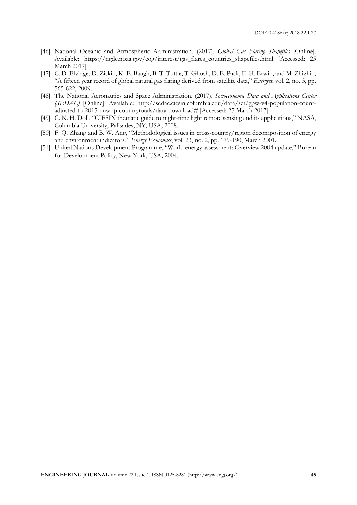- [46] National Oceanic and Atmospheric Administration. (2017). *Global Gas Flaring Shapefiles* [Online]. Available: https://ngdc.noaa.gov/eog/interest/gas\_flares\_countries\_shapefiles.html [Accessed: 25 March 2017]
- [47] C. D. Elvidge, D. Ziskin, K. E. Baugh, B. T. Tuttle, T. Ghosh, D. E. Pack, E. H. Erwin, and M. Zhizhin, "A fifteen year record of global natural gas flaring derived from satellite data," *Energies*, vol. 2, no. 3, pp. 565-622, 2009.
- [48] The National Aeronautics and Space Administration. (2017). *Socioeconomic Data and Applications Center (SEDAC)* [Online]. Available: http://sedac.ciesin.columbia.edu/data/set/gpw-v4-population-countadjusted-to-2015-unwpp-countrytotals/data-download# [Accessed: 25 March 2017]
- [49] C. N. H. Doll, "CIESIN thematic guide to night-time light remote sensing and its applications," NASA, Columbia University, Palisades, NY, USA, 2008.
- [50] F. Q. Zhang and B. W. Ang, "Methodological issues in cross-country/region decomposition of energy and environment indicators," *Energy Economics*, vol. 23, no. 2, pp. 179-190, March 2001.
- [51] United Nations Development Programme, "World energy assessment: Overview 2004 update," Bureau for Development Policy, New York, USA, 2004.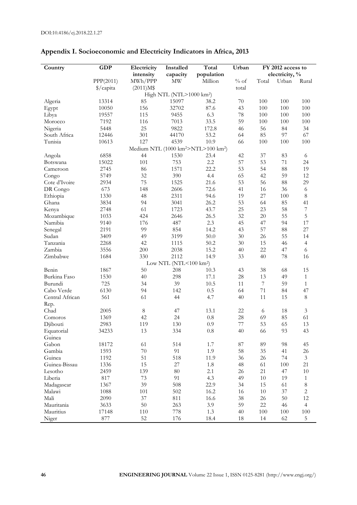| capacity<br>electricity, %<br>intensity<br>population<br>PPP(2011)<br>MWh/PPP<br>MW<br>Million<br>$%$ of<br>Total<br>Urban<br>Rural<br>\$/capita<br>total<br>$(2011)M$ \$<br>High NTL (NTL>1000 km <sup>2</sup> )<br>85<br>15097<br>100<br>100<br>100<br>Algeria<br>13314<br>38.2<br>70<br>156<br>10050<br>32702<br>87.6<br>43<br>100<br>100<br>100<br>Egypt<br>6.3<br>19557<br>115<br>9455<br>78<br>100<br>100<br>100<br>Libya<br>33.5<br>7192<br>116<br>7013<br>59<br>100<br>100<br>100<br>Morocco<br>25<br>5448<br>9822<br>172.8<br>56<br>84<br>34<br>Nigeria<br>46<br>301<br>85<br>67<br>South Africa<br>12446<br>44170<br>53.2<br>64<br>97<br>127<br>Tunisia<br>10613<br>4539<br>10.9<br>66<br>100<br>100<br>100<br>Medium NTL (1000 km <sup>2</sup> >NTL>100 km <sup>2</sup> )<br>6858<br>44<br>1530<br>23.4<br>42<br>37<br>83<br>Angola<br>6<br>101<br>2.2<br>57<br>53<br>71<br>15022<br>753<br>24<br>Botswana<br>53<br>88<br>19<br>2745<br>86<br>1571<br>22.2<br>54<br>Cameroon<br>32<br>4.4<br>65<br>42<br>59<br>12<br>5749<br>390<br>Congo<br>75<br>29<br>Cote d'Ivoire<br>2934<br>1525<br>21.6<br>53<br>56<br>88<br>673<br>148<br>2606<br>72.6<br>41<br>36<br>DR Congo<br>16<br>6<br>1330<br>48<br>2311<br>94.6<br>19<br>27<br>100<br>$\,8\,$<br>Ethiopia<br>85<br>41<br>3834<br>94<br>3041<br>26.2<br>53<br>64<br>Ghana<br>61<br>58<br>$\boldsymbol{7}$<br>2748<br>1723<br>43.7<br>25<br>23<br>Kenya<br>55<br>5<br>1033<br>424<br>2646<br>26.5<br>32<br>20<br>Mozambique<br>2.3<br>45<br>$17\,$<br>Namibia<br>9140<br>176<br>487<br>47<br>94<br>99<br>854<br>14.2<br>57<br>88<br>27<br>2191<br>43<br>Senegal<br>50.0<br>55<br>Sudan<br>3409<br>49<br>3199<br>30<br>26<br>14<br>42<br>2268<br>1115<br>50.2<br>30<br>15<br>46<br>$\overline{4}$<br>Tanzania<br>Zambia<br>3556<br>200<br>2038<br>15.2<br>40<br>22<br>47<br>6<br>1684<br>14.9<br>78<br>Zimbabwe<br>330<br>2112<br>33<br>40<br>16<br>Low NTL (NTL<100 km <sup>2</sup> )<br>50<br>15<br>Benin<br>208<br>10.3<br>43<br>38<br>68<br>1867<br>Burkina Faso<br>1530<br>40<br>298<br>17.1<br>28<br>13<br>49<br>$\mathbf{1}$<br>725<br>39<br>$\boldsymbol{7}$<br>59<br>Burundi<br>34<br>10.5<br>11<br>$\mathbf{1}$<br>71<br>47<br>Cabo Verde<br>6130<br>94<br>142<br>0.5<br>64<br>84<br>$\,8\,$<br>Central African<br>561<br>61<br>44<br>4.7<br>40<br>11<br>15<br>Rep.<br>Chad<br>8<br>47<br>22<br>18<br>$\mathfrak{Z}$<br>2005<br>13.1<br>6<br>$0.8\,$<br>69<br>85<br>61<br>1369<br>42<br>24<br>$28\,$<br>Comoros<br>53<br>2983<br>130<br>0.9<br>77<br>65<br>13<br>Djibouti<br>119<br>Equatorial<br>34233<br>13<br>334<br>$0.8\,$<br>40<br>66<br>93<br>43<br>Guinea<br>514<br>98<br>Gabon<br>18172<br>61<br>1.7<br>87<br>89<br>45<br>$70\,$<br>91<br>58<br>Gambia<br>1593<br>1.9<br>35<br>41<br>26<br>51<br>1192<br>518<br>11.9<br>36<br>26<br>74<br>$\mathfrak{Z}$<br>Guinea<br>Guinea-Bissau<br>1336<br>15<br>21<br>$27\,$<br>1.8<br>48<br>61<br>$100\,$<br>139<br>$80\,$<br>Lesotho<br>2459<br>2.1<br>26<br>21<br>47<br>$10\,$<br>91<br>$73\,$<br>4.3<br>19<br>Liberia<br>817<br>49<br>$10\,$<br>$\mathbf{1}$<br>39<br>508<br>22.9<br>$\,8\,$<br>1367<br>34<br>15<br>61<br>Madagascar<br>101<br>502<br>16.2<br>$\sqrt{2}$<br>1088<br>16<br>$10\,$<br>37<br>Malawi<br>12<br>37<br>811<br>16.6<br>Mali<br>2090<br>38<br>26<br>$50\,$<br>$50\,$<br>3.9<br>Mauritania<br>3633<br>263<br>59<br>22<br>46<br>$\overline{4}$<br>Mauritius<br>17148<br>110<br>778<br>1.3<br>40<br>100<br>$100\,$<br>$100\,$<br>52<br>Niger<br>877<br>176<br>18.4<br>18<br>62<br>14<br>$\sqrt{5}$ | Country | GDP | Electricity | Installed | Total | Urban | FY 2012 access to |  |  |
|--------------------------------------------------------------------------------------------------------------------------------------------------------------------------------------------------------------------------------------------------------------------------------------------------------------------------------------------------------------------------------------------------------------------------------------------------------------------------------------------------------------------------------------------------------------------------------------------------------------------------------------------------------------------------------------------------------------------------------------------------------------------------------------------------------------------------------------------------------------------------------------------------------------------------------------------------------------------------------------------------------------------------------------------------------------------------------------------------------------------------------------------------------------------------------------------------------------------------------------------------------------------------------------------------------------------------------------------------------------------------------------------------------------------------------------------------------------------------------------------------------------------------------------------------------------------------------------------------------------------------------------------------------------------------------------------------------------------------------------------------------------------------------------------------------------------------------------------------------------------------------------------------------------------------------------------------------------------------------------------------------------------------------------------------------------------------------------------------------------------------------------------------------------------------------------------------------------------------------------------------------------------------------------------------------------------------------------------------------------------------------------------------------------------------------------------------------------------------------------------------------------------------------------------------------------------------------------------------------------------------------------------------------------------------------------------------------------------------------------------------------------------------------------------------------------------------------------------------------------------------------------------------------------------------------------------------------------------------------------------------------------------------------------------------------------------------------------------------------------------------------------------------------------------------------------------------------------------------------------------------------------------------------------------------------------------------------------------------------------------------------------------------------------------------------------------------------------------------------------------------------------------------------------------|---------|-----|-------------|-----------|-------|-------|-------------------|--|--|
|                                                                                                                                                                                                                                                                                                                                                                                                                                                                                                                                                                                                                                                                                                                                                                                                                                                                                                                                                                                                                                                                                                                                                                                                                                                                                                                                                                                                                                                                                                                                                                                                                                                                                                                                                                                                                                                                                                                                                                                                                                                                                                                                                                                                                                                                                                                                                                                                                                                                                                                                                                                                                                                                                                                                                                                                                                                                                                                                                                                                                                                                                                                                                                                                                                                                                                                                                                                                                                                                                                                                            |         |     |             |           |       |       |                   |  |  |
|                                                                                                                                                                                                                                                                                                                                                                                                                                                                                                                                                                                                                                                                                                                                                                                                                                                                                                                                                                                                                                                                                                                                                                                                                                                                                                                                                                                                                                                                                                                                                                                                                                                                                                                                                                                                                                                                                                                                                                                                                                                                                                                                                                                                                                                                                                                                                                                                                                                                                                                                                                                                                                                                                                                                                                                                                                                                                                                                                                                                                                                                                                                                                                                                                                                                                                                                                                                                                                                                                                                                            |         |     |             |           |       |       |                   |  |  |
|                                                                                                                                                                                                                                                                                                                                                                                                                                                                                                                                                                                                                                                                                                                                                                                                                                                                                                                                                                                                                                                                                                                                                                                                                                                                                                                                                                                                                                                                                                                                                                                                                                                                                                                                                                                                                                                                                                                                                                                                                                                                                                                                                                                                                                                                                                                                                                                                                                                                                                                                                                                                                                                                                                                                                                                                                                                                                                                                                                                                                                                                                                                                                                                                                                                                                                                                                                                                                                                                                                                                            |         |     |             |           |       |       |                   |  |  |
|                                                                                                                                                                                                                                                                                                                                                                                                                                                                                                                                                                                                                                                                                                                                                                                                                                                                                                                                                                                                                                                                                                                                                                                                                                                                                                                                                                                                                                                                                                                                                                                                                                                                                                                                                                                                                                                                                                                                                                                                                                                                                                                                                                                                                                                                                                                                                                                                                                                                                                                                                                                                                                                                                                                                                                                                                                                                                                                                                                                                                                                                                                                                                                                                                                                                                                                                                                                                                                                                                                                                            |         |     |             |           |       |       |                   |  |  |
|                                                                                                                                                                                                                                                                                                                                                                                                                                                                                                                                                                                                                                                                                                                                                                                                                                                                                                                                                                                                                                                                                                                                                                                                                                                                                                                                                                                                                                                                                                                                                                                                                                                                                                                                                                                                                                                                                                                                                                                                                                                                                                                                                                                                                                                                                                                                                                                                                                                                                                                                                                                                                                                                                                                                                                                                                                                                                                                                                                                                                                                                                                                                                                                                                                                                                                                                                                                                                                                                                                                                            |         |     |             |           |       |       |                   |  |  |
|                                                                                                                                                                                                                                                                                                                                                                                                                                                                                                                                                                                                                                                                                                                                                                                                                                                                                                                                                                                                                                                                                                                                                                                                                                                                                                                                                                                                                                                                                                                                                                                                                                                                                                                                                                                                                                                                                                                                                                                                                                                                                                                                                                                                                                                                                                                                                                                                                                                                                                                                                                                                                                                                                                                                                                                                                                                                                                                                                                                                                                                                                                                                                                                                                                                                                                                                                                                                                                                                                                                                            |         |     |             |           |       |       |                   |  |  |
|                                                                                                                                                                                                                                                                                                                                                                                                                                                                                                                                                                                                                                                                                                                                                                                                                                                                                                                                                                                                                                                                                                                                                                                                                                                                                                                                                                                                                                                                                                                                                                                                                                                                                                                                                                                                                                                                                                                                                                                                                                                                                                                                                                                                                                                                                                                                                                                                                                                                                                                                                                                                                                                                                                                                                                                                                                                                                                                                                                                                                                                                                                                                                                                                                                                                                                                                                                                                                                                                                                                                            |         |     |             |           |       |       |                   |  |  |
|                                                                                                                                                                                                                                                                                                                                                                                                                                                                                                                                                                                                                                                                                                                                                                                                                                                                                                                                                                                                                                                                                                                                                                                                                                                                                                                                                                                                                                                                                                                                                                                                                                                                                                                                                                                                                                                                                                                                                                                                                                                                                                                                                                                                                                                                                                                                                                                                                                                                                                                                                                                                                                                                                                                                                                                                                                                                                                                                                                                                                                                                                                                                                                                                                                                                                                                                                                                                                                                                                                                                            |         |     |             |           |       |       |                   |  |  |
|                                                                                                                                                                                                                                                                                                                                                                                                                                                                                                                                                                                                                                                                                                                                                                                                                                                                                                                                                                                                                                                                                                                                                                                                                                                                                                                                                                                                                                                                                                                                                                                                                                                                                                                                                                                                                                                                                                                                                                                                                                                                                                                                                                                                                                                                                                                                                                                                                                                                                                                                                                                                                                                                                                                                                                                                                                                                                                                                                                                                                                                                                                                                                                                                                                                                                                                                                                                                                                                                                                                                            |         |     |             |           |       |       |                   |  |  |
|                                                                                                                                                                                                                                                                                                                                                                                                                                                                                                                                                                                                                                                                                                                                                                                                                                                                                                                                                                                                                                                                                                                                                                                                                                                                                                                                                                                                                                                                                                                                                                                                                                                                                                                                                                                                                                                                                                                                                                                                                                                                                                                                                                                                                                                                                                                                                                                                                                                                                                                                                                                                                                                                                                                                                                                                                                                                                                                                                                                                                                                                                                                                                                                                                                                                                                                                                                                                                                                                                                                                            |         |     |             |           |       |       |                   |  |  |
|                                                                                                                                                                                                                                                                                                                                                                                                                                                                                                                                                                                                                                                                                                                                                                                                                                                                                                                                                                                                                                                                                                                                                                                                                                                                                                                                                                                                                                                                                                                                                                                                                                                                                                                                                                                                                                                                                                                                                                                                                                                                                                                                                                                                                                                                                                                                                                                                                                                                                                                                                                                                                                                                                                                                                                                                                                                                                                                                                                                                                                                                                                                                                                                                                                                                                                                                                                                                                                                                                                                                            |         |     |             |           |       |       |                   |  |  |
|                                                                                                                                                                                                                                                                                                                                                                                                                                                                                                                                                                                                                                                                                                                                                                                                                                                                                                                                                                                                                                                                                                                                                                                                                                                                                                                                                                                                                                                                                                                                                                                                                                                                                                                                                                                                                                                                                                                                                                                                                                                                                                                                                                                                                                                                                                                                                                                                                                                                                                                                                                                                                                                                                                                                                                                                                                                                                                                                                                                                                                                                                                                                                                                                                                                                                                                                                                                                                                                                                                                                            |         |     |             |           |       |       |                   |  |  |
|                                                                                                                                                                                                                                                                                                                                                                                                                                                                                                                                                                                                                                                                                                                                                                                                                                                                                                                                                                                                                                                                                                                                                                                                                                                                                                                                                                                                                                                                                                                                                                                                                                                                                                                                                                                                                                                                                                                                                                                                                                                                                                                                                                                                                                                                                                                                                                                                                                                                                                                                                                                                                                                                                                                                                                                                                                                                                                                                                                                                                                                                                                                                                                                                                                                                                                                                                                                                                                                                                                                                            |         |     |             |           |       |       |                   |  |  |
|                                                                                                                                                                                                                                                                                                                                                                                                                                                                                                                                                                                                                                                                                                                                                                                                                                                                                                                                                                                                                                                                                                                                                                                                                                                                                                                                                                                                                                                                                                                                                                                                                                                                                                                                                                                                                                                                                                                                                                                                                                                                                                                                                                                                                                                                                                                                                                                                                                                                                                                                                                                                                                                                                                                                                                                                                                                                                                                                                                                                                                                                                                                                                                                                                                                                                                                                                                                                                                                                                                                                            |         |     |             |           |       |       |                   |  |  |
|                                                                                                                                                                                                                                                                                                                                                                                                                                                                                                                                                                                                                                                                                                                                                                                                                                                                                                                                                                                                                                                                                                                                                                                                                                                                                                                                                                                                                                                                                                                                                                                                                                                                                                                                                                                                                                                                                                                                                                                                                                                                                                                                                                                                                                                                                                                                                                                                                                                                                                                                                                                                                                                                                                                                                                                                                                                                                                                                                                                                                                                                                                                                                                                                                                                                                                                                                                                                                                                                                                                                            |         |     |             |           |       |       |                   |  |  |
|                                                                                                                                                                                                                                                                                                                                                                                                                                                                                                                                                                                                                                                                                                                                                                                                                                                                                                                                                                                                                                                                                                                                                                                                                                                                                                                                                                                                                                                                                                                                                                                                                                                                                                                                                                                                                                                                                                                                                                                                                                                                                                                                                                                                                                                                                                                                                                                                                                                                                                                                                                                                                                                                                                                                                                                                                                                                                                                                                                                                                                                                                                                                                                                                                                                                                                                                                                                                                                                                                                                                            |         |     |             |           |       |       |                   |  |  |
|                                                                                                                                                                                                                                                                                                                                                                                                                                                                                                                                                                                                                                                                                                                                                                                                                                                                                                                                                                                                                                                                                                                                                                                                                                                                                                                                                                                                                                                                                                                                                                                                                                                                                                                                                                                                                                                                                                                                                                                                                                                                                                                                                                                                                                                                                                                                                                                                                                                                                                                                                                                                                                                                                                                                                                                                                                                                                                                                                                                                                                                                                                                                                                                                                                                                                                                                                                                                                                                                                                                                            |         |     |             |           |       |       |                   |  |  |
|                                                                                                                                                                                                                                                                                                                                                                                                                                                                                                                                                                                                                                                                                                                                                                                                                                                                                                                                                                                                                                                                                                                                                                                                                                                                                                                                                                                                                                                                                                                                                                                                                                                                                                                                                                                                                                                                                                                                                                                                                                                                                                                                                                                                                                                                                                                                                                                                                                                                                                                                                                                                                                                                                                                                                                                                                                                                                                                                                                                                                                                                                                                                                                                                                                                                                                                                                                                                                                                                                                                                            |         |     |             |           |       |       |                   |  |  |
|                                                                                                                                                                                                                                                                                                                                                                                                                                                                                                                                                                                                                                                                                                                                                                                                                                                                                                                                                                                                                                                                                                                                                                                                                                                                                                                                                                                                                                                                                                                                                                                                                                                                                                                                                                                                                                                                                                                                                                                                                                                                                                                                                                                                                                                                                                                                                                                                                                                                                                                                                                                                                                                                                                                                                                                                                                                                                                                                                                                                                                                                                                                                                                                                                                                                                                                                                                                                                                                                                                                                            |         |     |             |           |       |       |                   |  |  |
|                                                                                                                                                                                                                                                                                                                                                                                                                                                                                                                                                                                                                                                                                                                                                                                                                                                                                                                                                                                                                                                                                                                                                                                                                                                                                                                                                                                                                                                                                                                                                                                                                                                                                                                                                                                                                                                                                                                                                                                                                                                                                                                                                                                                                                                                                                                                                                                                                                                                                                                                                                                                                                                                                                                                                                                                                                                                                                                                                                                                                                                                                                                                                                                                                                                                                                                                                                                                                                                                                                                                            |         |     |             |           |       |       |                   |  |  |
|                                                                                                                                                                                                                                                                                                                                                                                                                                                                                                                                                                                                                                                                                                                                                                                                                                                                                                                                                                                                                                                                                                                                                                                                                                                                                                                                                                                                                                                                                                                                                                                                                                                                                                                                                                                                                                                                                                                                                                                                                                                                                                                                                                                                                                                                                                                                                                                                                                                                                                                                                                                                                                                                                                                                                                                                                                                                                                                                                                                                                                                                                                                                                                                                                                                                                                                                                                                                                                                                                                                                            |         |     |             |           |       |       |                   |  |  |
|                                                                                                                                                                                                                                                                                                                                                                                                                                                                                                                                                                                                                                                                                                                                                                                                                                                                                                                                                                                                                                                                                                                                                                                                                                                                                                                                                                                                                                                                                                                                                                                                                                                                                                                                                                                                                                                                                                                                                                                                                                                                                                                                                                                                                                                                                                                                                                                                                                                                                                                                                                                                                                                                                                                                                                                                                                                                                                                                                                                                                                                                                                                                                                                                                                                                                                                                                                                                                                                                                                                                            |         |     |             |           |       |       |                   |  |  |
|                                                                                                                                                                                                                                                                                                                                                                                                                                                                                                                                                                                                                                                                                                                                                                                                                                                                                                                                                                                                                                                                                                                                                                                                                                                                                                                                                                                                                                                                                                                                                                                                                                                                                                                                                                                                                                                                                                                                                                                                                                                                                                                                                                                                                                                                                                                                                                                                                                                                                                                                                                                                                                                                                                                                                                                                                                                                                                                                                                                                                                                                                                                                                                                                                                                                                                                                                                                                                                                                                                                                            |         |     |             |           |       |       |                   |  |  |
|                                                                                                                                                                                                                                                                                                                                                                                                                                                                                                                                                                                                                                                                                                                                                                                                                                                                                                                                                                                                                                                                                                                                                                                                                                                                                                                                                                                                                                                                                                                                                                                                                                                                                                                                                                                                                                                                                                                                                                                                                                                                                                                                                                                                                                                                                                                                                                                                                                                                                                                                                                                                                                                                                                                                                                                                                                                                                                                                                                                                                                                                                                                                                                                                                                                                                                                                                                                                                                                                                                                                            |         |     |             |           |       |       |                   |  |  |
|                                                                                                                                                                                                                                                                                                                                                                                                                                                                                                                                                                                                                                                                                                                                                                                                                                                                                                                                                                                                                                                                                                                                                                                                                                                                                                                                                                                                                                                                                                                                                                                                                                                                                                                                                                                                                                                                                                                                                                                                                                                                                                                                                                                                                                                                                                                                                                                                                                                                                                                                                                                                                                                                                                                                                                                                                                                                                                                                                                                                                                                                                                                                                                                                                                                                                                                                                                                                                                                                                                                                            |         |     |             |           |       |       |                   |  |  |
|                                                                                                                                                                                                                                                                                                                                                                                                                                                                                                                                                                                                                                                                                                                                                                                                                                                                                                                                                                                                                                                                                                                                                                                                                                                                                                                                                                                                                                                                                                                                                                                                                                                                                                                                                                                                                                                                                                                                                                                                                                                                                                                                                                                                                                                                                                                                                                                                                                                                                                                                                                                                                                                                                                                                                                                                                                                                                                                                                                                                                                                                                                                                                                                                                                                                                                                                                                                                                                                                                                                                            |         |     |             |           |       |       |                   |  |  |
|                                                                                                                                                                                                                                                                                                                                                                                                                                                                                                                                                                                                                                                                                                                                                                                                                                                                                                                                                                                                                                                                                                                                                                                                                                                                                                                                                                                                                                                                                                                                                                                                                                                                                                                                                                                                                                                                                                                                                                                                                                                                                                                                                                                                                                                                                                                                                                                                                                                                                                                                                                                                                                                                                                                                                                                                                                                                                                                                                                                                                                                                                                                                                                                                                                                                                                                                                                                                                                                                                                                                            |         |     |             |           |       |       |                   |  |  |
|                                                                                                                                                                                                                                                                                                                                                                                                                                                                                                                                                                                                                                                                                                                                                                                                                                                                                                                                                                                                                                                                                                                                                                                                                                                                                                                                                                                                                                                                                                                                                                                                                                                                                                                                                                                                                                                                                                                                                                                                                                                                                                                                                                                                                                                                                                                                                                                                                                                                                                                                                                                                                                                                                                                                                                                                                                                                                                                                                                                                                                                                                                                                                                                                                                                                                                                                                                                                                                                                                                                                            |         |     |             |           |       |       |                   |  |  |
|                                                                                                                                                                                                                                                                                                                                                                                                                                                                                                                                                                                                                                                                                                                                                                                                                                                                                                                                                                                                                                                                                                                                                                                                                                                                                                                                                                                                                                                                                                                                                                                                                                                                                                                                                                                                                                                                                                                                                                                                                                                                                                                                                                                                                                                                                                                                                                                                                                                                                                                                                                                                                                                                                                                                                                                                                                                                                                                                                                                                                                                                                                                                                                                                                                                                                                                                                                                                                                                                                                                                            |         |     |             |           |       |       |                   |  |  |
|                                                                                                                                                                                                                                                                                                                                                                                                                                                                                                                                                                                                                                                                                                                                                                                                                                                                                                                                                                                                                                                                                                                                                                                                                                                                                                                                                                                                                                                                                                                                                                                                                                                                                                                                                                                                                                                                                                                                                                                                                                                                                                                                                                                                                                                                                                                                                                                                                                                                                                                                                                                                                                                                                                                                                                                                                                                                                                                                                                                                                                                                                                                                                                                                                                                                                                                                                                                                                                                                                                                                            |         |     |             |           |       |       |                   |  |  |
|                                                                                                                                                                                                                                                                                                                                                                                                                                                                                                                                                                                                                                                                                                                                                                                                                                                                                                                                                                                                                                                                                                                                                                                                                                                                                                                                                                                                                                                                                                                                                                                                                                                                                                                                                                                                                                                                                                                                                                                                                                                                                                                                                                                                                                                                                                                                                                                                                                                                                                                                                                                                                                                                                                                                                                                                                                                                                                                                                                                                                                                                                                                                                                                                                                                                                                                                                                                                                                                                                                                                            |         |     |             |           |       |       |                   |  |  |
|                                                                                                                                                                                                                                                                                                                                                                                                                                                                                                                                                                                                                                                                                                                                                                                                                                                                                                                                                                                                                                                                                                                                                                                                                                                                                                                                                                                                                                                                                                                                                                                                                                                                                                                                                                                                                                                                                                                                                                                                                                                                                                                                                                                                                                                                                                                                                                                                                                                                                                                                                                                                                                                                                                                                                                                                                                                                                                                                                                                                                                                                                                                                                                                                                                                                                                                                                                                                                                                                                                                                            |         |     |             |           |       |       |                   |  |  |
|                                                                                                                                                                                                                                                                                                                                                                                                                                                                                                                                                                                                                                                                                                                                                                                                                                                                                                                                                                                                                                                                                                                                                                                                                                                                                                                                                                                                                                                                                                                                                                                                                                                                                                                                                                                                                                                                                                                                                                                                                                                                                                                                                                                                                                                                                                                                                                                                                                                                                                                                                                                                                                                                                                                                                                                                                                                                                                                                                                                                                                                                                                                                                                                                                                                                                                                                                                                                                                                                                                                                            |         |     |             |           |       |       |                   |  |  |
|                                                                                                                                                                                                                                                                                                                                                                                                                                                                                                                                                                                                                                                                                                                                                                                                                                                                                                                                                                                                                                                                                                                                                                                                                                                                                                                                                                                                                                                                                                                                                                                                                                                                                                                                                                                                                                                                                                                                                                                                                                                                                                                                                                                                                                                                                                                                                                                                                                                                                                                                                                                                                                                                                                                                                                                                                                                                                                                                                                                                                                                                                                                                                                                                                                                                                                                                                                                                                                                                                                                                            |         |     |             |           |       |       |                   |  |  |
|                                                                                                                                                                                                                                                                                                                                                                                                                                                                                                                                                                                                                                                                                                                                                                                                                                                                                                                                                                                                                                                                                                                                                                                                                                                                                                                                                                                                                                                                                                                                                                                                                                                                                                                                                                                                                                                                                                                                                                                                                                                                                                                                                                                                                                                                                                                                                                                                                                                                                                                                                                                                                                                                                                                                                                                                                                                                                                                                                                                                                                                                                                                                                                                                                                                                                                                                                                                                                                                                                                                                            |         |     |             |           |       |       |                   |  |  |
|                                                                                                                                                                                                                                                                                                                                                                                                                                                                                                                                                                                                                                                                                                                                                                                                                                                                                                                                                                                                                                                                                                                                                                                                                                                                                                                                                                                                                                                                                                                                                                                                                                                                                                                                                                                                                                                                                                                                                                                                                                                                                                                                                                                                                                                                                                                                                                                                                                                                                                                                                                                                                                                                                                                                                                                                                                                                                                                                                                                                                                                                                                                                                                                                                                                                                                                                                                                                                                                                                                                                            |         |     |             |           |       |       |                   |  |  |
|                                                                                                                                                                                                                                                                                                                                                                                                                                                                                                                                                                                                                                                                                                                                                                                                                                                                                                                                                                                                                                                                                                                                                                                                                                                                                                                                                                                                                                                                                                                                                                                                                                                                                                                                                                                                                                                                                                                                                                                                                                                                                                                                                                                                                                                                                                                                                                                                                                                                                                                                                                                                                                                                                                                                                                                                                                                                                                                                                                                                                                                                                                                                                                                                                                                                                                                                                                                                                                                                                                                                            |         |     |             |           |       |       |                   |  |  |
|                                                                                                                                                                                                                                                                                                                                                                                                                                                                                                                                                                                                                                                                                                                                                                                                                                                                                                                                                                                                                                                                                                                                                                                                                                                                                                                                                                                                                                                                                                                                                                                                                                                                                                                                                                                                                                                                                                                                                                                                                                                                                                                                                                                                                                                                                                                                                                                                                                                                                                                                                                                                                                                                                                                                                                                                                                                                                                                                                                                                                                                                                                                                                                                                                                                                                                                                                                                                                                                                                                                                            |         |     |             |           |       |       |                   |  |  |
|                                                                                                                                                                                                                                                                                                                                                                                                                                                                                                                                                                                                                                                                                                                                                                                                                                                                                                                                                                                                                                                                                                                                                                                                                                                                                                                                                                                                                                                                                                                                                                                                                                                                                                                                                                                                                                                                                                                                                                                                                                                                                                                                                                                                                                                                                                                                                                                                                                                                                                                                                                                                                                                                                                                                                                                                                                                                                                                                                                                                                                                                                                                                                                                                                                                                                                                                                                                                                                                                                                                                            |         |     |             |           |       |       |                   |  |  |
|                                                                                                                                                                                                                                                                                                                                                                                                                                                                                                                                                                                                                                                                                                                                                                                                                                                                                                                                                                                                                                                                                                                                                                                                                                                                                                                                                                                                                                                                                                                                                                                                                                                                                                                                                                                                                                                                                                                                                                                                                                                                                                                                                                                                                                                                                                                                                                                                                                                                                                                                                                                                                                                                                                                                                                                                                                                                                                                                                                                                                                                                                                                                                                                                                                                                                                                                                                                                                                                                                                                                            |         |     |             |           |       |       |                   |  |  |
|                                                                                                                                                                                                                                                                                                                                                                                                                                                                                                                                                                                                                                                                                                                                                                                                                                                                                                                                                                                                                                                                                                                                                                                                                                                                                                                                                                                                                                                                                                                                                                                                                                                                                                                                                                                                                                                                                                                                                                                                                                                                                                                                                                                                                                                                                                                                                                                                                                                                                                                                                                                                                                                                                                                                                                                                                                                                                                                                                                                                                                                                                                                                                                                                                                                                                                                                                                                                                                                                                                                                            |         |     |             |           |       |       |                   |  |  |
|                                                                                                                                                                                                                                                                                                                                                                                                                                                                                                                                                                                                                                                                                                                                                                                                                                                                                                                                                                                                                                                                                                                                                                                                                                                                                                                                                                                                                                                                                                                                                                                                                                                                                                                                                                                                                                                                                                                                                                                                                                                                                                                                                                                                                                                                                                                                                                                                                                                                                                                                                                                                                                                                                                                                                                                                                                                                                                                                                                                                                                                                                                                                                                                                                                                                                                                                                                                                                                                                                                                                            |         |     |             |           |       |       |                   |  |  |
|                                                                                                                                                                                                                                                                                                                                                                                                                                                                                                                                                                                                                                                                                                                                                                                                                                                                                                                                                                                                                                                                                                                                                                                                                                                                                                                                                                                                                                                                                                                                                                                                                                                                                                                                                                                                                                                                                                                                                                                                                                                                                                                                                                                                                                                                                                                                                                                                                                                                                                                                                                                                                                                                                                                                                                                                                                                                                                                                                                                                                                                                                                                                                                                                                                                                                                                                                                                                                                                                                                                                            |         |     |             |           |       |       |                   |  |  |
|                                                                                                                                                                                                                                                                                                                                                                                                                                                                                                                                                                                                                                                                                                                                                                                                                                                                                                                                                                                                                                                                                                                                                                                                                                                                                                                                                                                                                                                                                                                                                                                                                                                                                                                                                                                                                                                                                                                                                                                                                                                                                                                                                                                                                                                                                                                                                                                                                                                                                                                                                                                                                                                                                                                                                                                                                                                                                                                                                                                                                                                                                                                                                                                                                                                                                                                                                                                                                                                                                                                                            |         |     |             |           |       |       |                   |  |  |
|                                                                                                                                                                                                                                                                                                                                                                                                                                                                                                                                                                                                                                                                                                                                                                                                                                                                                                                                                                                                                                                                                                                                                                                                                                                                                                                                                                                                                                                                                                                                                                                                                                                                                                                                                                                                                                                                                                                                                                                                                                                                                                                                                                                                                                                                                                                                                                                                                                                                                                                                                                                                                                                                                                                                                                                                                                                                                                                                                                                                                                                                                                                                                                                                                                                                                                                                                                                                                                                                                                                                            |         |     |             |           |       |       |                   |  |  |
|                                                                                                                                                                                                                                                                                                                                                                                                                                                                                                                                                                                                                                                                                                                                                                                                                                                                                                                                                                                                                                                                                                                                                                                                                                                                                                                                                                                                                                                                                                                                                                                                                                                                                                                                                                                                                                                                                                                                                                                                                                                                                                                                                                                                                                                                                                                                                                                                                                                                                                                                                                                                                                                                                                                                                                                                                                                                                                                                                                                                                                                                                                                                                                                                                                                                                                                                                                                                                                                                                                                                            |         |     |             |           |       |       |                   |  |  |
|                                                                                                                                                                                                                                                                                                                                                                                                                                                                                                                                                                                                                                                                                                                                                                                                                                                                                                                                                                                                                                                                                                                                                                                                                                                                                                                                                                                                                                                                                                                                                                                                                                                                                                                                                                                                                                                                                                                                                                                                                                                                                                                                                                                                                                                                                                                                                                                                                                                                                                                                                                                                                                                                                                                                                                                                                                                                                                                                                                                                                                                                                                                                                                                                                                                                                                                                                                                                                                                                                                                                            |         |     |             |           |       |       |                   |  |  |
|                                                                                                                                                                                                                                                                                                                                                                                                                                                                                                                                                                                                                                                                                                                                                                                                                                                                                                                                                                                                                                                                                                                                                                                                                                                                                                                                                                                                                                                                                                                                                                                                                                                                                                                                                                                                                                                                                                                                                                                                                                                                                                                                                                                                                                                                                                                                                                                                                                                                                                                                                                                                                                                                                                                                                                                                                                                                                                                                                                                                                                                                                                                                                                                                                                                                                                                                                                                                                                                                                                                                            |         |     |             |           |       |       |                   |  |  |
|                                                                                                                                                                                                                                                                                                                                                                                                                                                                                                                                                                                                                                                                                                                                                                                                                                                                                                                                                                                                                                                                                                                                                                                                                                                                                                                                                                                                                                                                                                                                                                                                                                                                                                                                                                                                                                                                                                                                                                                                                                                                                                                                                                                                                                                                                                                                                                                                                                                                                                                                                                                                                                                                                                                                                                                                                                                                                                                                                                                                                                                                                                                                                                                                                                                                                                                                                                                                                                                                                                                                            |         |     |             |           |       |       |                   |  |  |
|                                                                                                                                                                                                                                                                                                                                                                                                                                                                                                                                                                                                                                                                                                                                                                                                                                                                                                                                                                                                                                                                                                                                                                                                                                                                                                                                                                                                                                                                                                                                                                                                                                                                                                                                                                                                                                                                                                                                                                                                                                                                                                                                                                                                                                                                                                                                                                                                                                                                                                                                                                                                                                                                                                                                                                                                                                                                                                                                                                                                                                                                                                                                                                                                                                                                                                                                                                                                                                                                                                                                            |         |     |             |           |       |       |                   |  |  |
|                                                                                                                                                                                                                                                                                                                                                                                                                                                                                                                                                                                                                                                                                                                                                                                                                                                                                                                                                                                                                                                                                                                                                                                                                                                                                                                                                                                                                                                                                                                                                                                                                                                                                                                                                                                                                                                                                                                                                                                                                                                                                                                                                                                                                                                                                                                                                                                                                                                                                                                                                                                                                                                                                                                                                                                                                                                                                                                                                                                                                                                                                                                                                                                                                                                                                                                                                                                                                                                                                                                                            |         |     |             |           |       |       |                   |  |  |
|                                                                                                                                                                                                                                                                                                                                                                                                                                                                                                                                                                                                                                                                                                                                                                                                                                                                                                                                                                                                                                                                                                                                                                                                                                                                                                                                                                                                                                                                                                                                                                                                                                                                                                                                                                                                                                                                                                                                                                                                                                                                                                                                                                                                                                                                                                                                                                                                                                                                                                                                                                                                                                                                                                                                                                                                                                                                                                                                                                                                                                                                                                                                                                                                                                                                                                                                                                                                                                                                                                                                            |         |     |             |           |       |       |                   |  |  |

# **Appendix I. Socioeconomic and Electricity Indicators in Africa, 2013**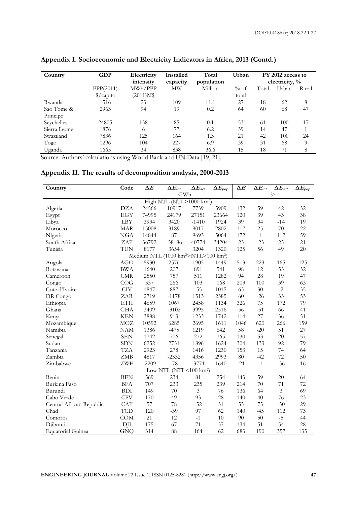| Country      | <b>GDP</b>         | Electricity<br>intensity | Installed<br>capacity | Total<br>population | Urban | FY 2012 access to<br>electricity, % |       |       |
|--------------|--------------------|--------------------------|-----------------------|---------------------|-------|-------------------------------------|-------|-------|
|              | PPP(2011)          | MWh/PPP                  | MW                    | Million<br>$%$ of   |       | Total                               | Urban | Rural |
|              | $\sqrt{$}$ /capita | $(2011)M$ \$             |                       |                     | total |                                     |       |       |
| Rwanda       | 1516               | 23                       | 109                   | 11.1                | 27    | 18                                  | 62    | 8     |
| Sao Tome &   | 2963               | 94                       | 19                    | 0.2                 | 64    | 60                                  | 68    | 47    |
| Principe     |                    |                          |                       |                     |       |                                     |       |       |
| Seychelles   | 24805              | 138                      | 85                    | 0.1                 | 53    | 61                                  | 100   | 17    |
| Sierra Leone | 1876               | 6                        | 77                    | 6.2                 | 39    | 14                                  | 47    |       |
| Swaziland    | 7836               | 125                      | 164                   | 1.3                 | 21    | 42                                  | 100   | 24    |
| Togo         | 1296               | 104                      | 227                   | 6.9                 | 39    | 31                                  | 68    | 9     |
| Uganda       | 1665               | 34                       | 838                   | 36.6                | 15    | 18                                  | 71    | 8     |

# **Appendix I. Socioeconomic and Electricity Indicators in Africa, 2013 (Contd.)**

Source: Authors' calculations using World Bank and UN Data [19, 21].

# **Appendix II. The results of decomposition analysis, 2000-2013**

| Country                  | Code       | $\Delta E$ | $\Delta E_{\text{int}}$                                     | $\Delta E_{act}$ | $\Delta E_{pop}$ | $\Delta E$ | $\Delta E_{int}$ | $\Delta E_{act}$ | $\Delta E_{pop}$ |
|--------------------------|------------|------------|-------------------------------------------------------------|------------------|------------------|------------|------------------|------------------|------------------|
|                          |            |            | GWh                                                         |                  |                  |            |                  | $\frac{0}{0}$    |                  |
|                          |            |            | High NTL (NTL>1000 km <sup>2</sup> )                        |                  |                  |            |                  |                  |                  |
| Algeria                  | <b>DZA</b> | 24566      | 10917                                                       | 7739             | 5909             | 132        | 59               | 42               | 32               |
| Egypt                    | <b>EGY</b> | 74995      | 24179                                                       | 27151            | 23664            | 120        | 39               | 43               | 38               |
| Libya                    | <b>LBY</b> | 3934       | 3420                                                        | $-1410$          | 1924             | 39         | 34               | $-14$            | 19               |
| Morocco                  | <b>MAR</b> | 15008      | 3189                                                        | 9017             | 2802             | 117        | 25               | 70               | 22               |
| Nigeria                  | <b>NGA</b> | 14844      | 87                                                          | 9693             | 5064             | 172        | $\mathbf{1}$     | 112              | 59               |
| South Africa             | ZAF        | 36792      | $-38186$                                                    | 40774            | 34204            | 23         | $-23$            | 25               | 21               |
| Tunisia                  | <b>TUN</b> | 8177       | 3654                                                        | 3204             | 1320             | 125        | 56               | 49               | 20               |
|                          |            |            | Medium NTL (1000 km <sup>2</sup> >NTL>100 km <sup>2</sup> ) |                  |                  |            |                  |                  |                  |
| Angola                   | <b>AGO</b> | 5930       | 2576                                                        | 1905             | 1449             | 513        | 223              | 165              | 125              |
| Botswana                 | <b>BWA</b> | 1640       | 207                                                         | 891              | 541              | 98         | 12               | 53               | 32               |
| Cameroon                 | <b>CMR</b> | 2550       | 757                                                         | 511              | 1282             | 94         | 28               | 19               | 47               |
| Congo                    | COG        | 537        | 266                                                         | 103              | 168              | 203        | 100              | 39               | 63               |
| Cote d'Ivoire            | <b>CIV</b> | 1847       | 887                                                         | $-55$            | 1015             | 63         | 30               | $-2$             | 35               |
| DR Congo                 | ZAR        | 2719       | $-1178$                                                     | 1513             | 2385             | 60         | $-26$            | 33               | 53               |
| Ethiopia                 | ETH        | 4659       | 1067                                                        | 2458             | 1134             | 326        | 75               | 172              | 79               |
| Ghana                    | <b>GHA</b> | 3409       | $-3102$                                                     | 3995             | 2516             | 56         | $-51$            | 66               | 41               |
| Kenya                    | <b>KEN</b> | 3888       | 913                                                         | 1233             | 1742             | 114        | 27               | 36               | 51               |
| Mozambique               | <b>MOZ</b> | 10592      | 6285                                                        | 2695             | 1611             | 1046       | 620              | 266              | 159              |
| Namibia                  | <b>NAM</b> | 1386       | $-475$                                                      | 1219             | 642              | 58         | $-20$            | 51               | 27               |
| Senegal                  | <b>SEN</b> | 1742       | 706                                                         | 272              | 765              | 130        | 53               | 20               | 57               |
| Sudan                    | <b>SDN</b> | 6252       | 2731                                                        | 1896             | 1624             | 304        | 133              | 92               | 79               |
| Tanzania                 | <b>TZA</b> | 2923       | 278                                                         | 1416             | 1230             | 153        | 15               | 74               | 64               |
| Zambia                   | ZMB        | 4817       | $-2532$                                                     | 4356             | 2993             | 80         | $-42$            | 72               | 50               |
| Zimbabwe                 | <b>ZWE</b> | $-2209$    | $-78$                                                       | $-3771$          | 1640             | $-21$      | $-1$             | $-36$            | 16               |
|                          |            |            | Low NTL (NTL $<$ 100 km <sup>2</sup> )                      |                  |                  |            |                  |                  |                  |
| Benin                    | <b>BEN</b> | 569        | 234                                                         | 81               | 254              | 143        | 59               | 20               | 64               |
| Burkina Faso             | <b>BFA</b> | 707        | 233                                                         | 235              | 239              | 214        | 70               | 71               | 72               |
| Burundi                  | <b>BDI</b> | 149        | 70                                                          | 3                | 76               | 136        | 64               | 3                | 69               |
| Cabo Verde               | <b>CPV</b> | 170        | 49                                                          | 93               | 28               | 140        | 40               | 76               | 23               |
| Central African Republic | CAF        | 57         | 78                                                          | $-52$            | 31               | 55         | 75               | $-50$            | 29               |
| Chad                     | <b>TCD</b> | 120        | $-39$                                                       | 97               | 62               | 140        | $-45$            | 112              | 73               |
| Comoros                  | COM        | 21         | 12                                                          | $-1$             | 10               | 90         | 50               | $-5$             | 44               |
| Djibouti                 | DJI        | 175        | 67                                                          | 71               | 37               | 134        | 51               | 54               | 28               |
| <b>Equatorial Guinea</b> | <b>GNQ</b> | 314        | 88                                                          | 164              | 62               | 683        | 190              | 357              | 135              |